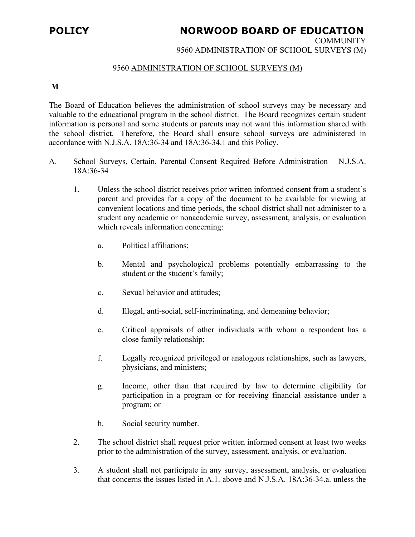## **POLICY NORWOOD BOARD OF EDUCATION**

**COMMUNITY** 

9560 ADMINISTRATION OF SCHOOL SURVEYS (M)

## 9560 ADMINISTRATION OF SCHOOL SURVEYS (M)

## **M**

The Board of Education believes the administration of school surveys may be necessary and valuable to the educational program in the school district. The Board recognizes certain student information is personal and some students or parents may not want this information shared with the school district. Therefore, the Board shall ensure school surveys are administered in accordance with N.J.S.A. 18A:36-34 and 18A:36-34.1 and this Policy.

- A. School Surveys, Certain, Parental Consent Required Before Administration N.J.S.A. 18A:36-34
	- 1. Unless the school district receives prior written informed consent from a student's parent and provides for a copy of the document to be available for viewing at convenient locations and time periods, the school district shall not administer to a student any academic or nonacademic survey, assessment, analysis, or evaluation which reveals information concerning:
		- a. Political affiliations;
		- b. Mental and psychological problems potentially embarrassing to the student or the student's family;
		- c. Sexual behavior and attitudes;
		- d. Illegal, anti-social, self-incriminating, and demeaning behavior;
		- e. Critical appraisals of other individuals with whom a respondent has a close family relationship;
		- f. Legally recognized privileged or analogous relationships, such as lawyers, physicians, and ministers;
		- g. Income, other than that required by law to determine eligibility for participation in a program or for receiving financial assistance under a program; or
		- h. Social security number.
	- 2. The school district shall request prior written informed consent at least two weeks prior to the administration of the survey, assessment, analysis, or evaluation.
	- 3. A student shall not participate in any survey, assessment, analysis, or evaluation that concerns the issues listed in A.1. above and N.J.S.A. 18A:36-34.a. unless the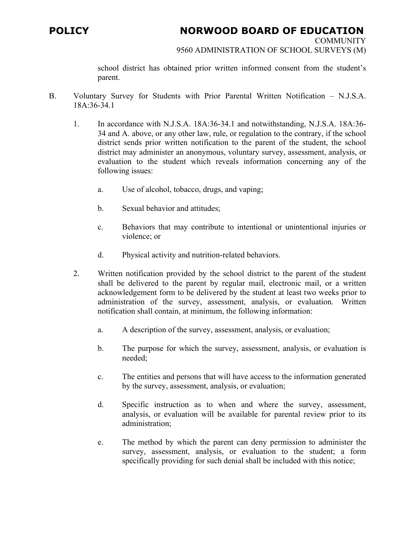## **POLICY NORWOOD BOARD OF EDUCATION**

**COMMUNITY** 

9560 ADMINISTRATION OF SCHOOL SURVEYS (M)

school district has obtained prior written informed consent from the student's parent.

- B. Voluntary Survey for Students with Prior Parental Written Notification N.J.S.A. 18A:36-34.1
	- 1. In accordance with N.J.S.A. 18A:36-34.1 and notwithstanding, N.J.S.A. 18A:36- 34 and A. above, or any other law, rule, or regulation to the contrary, if the school district sends prior written notification to the parent of the student, the school district may administer an anonymous, voluntary survey, assessment, analysis, or evaluation to the student which reveals information concerning any of the following issues:
		- a. Use of alcohol, tobacco, drugs, and vaping;
		- b. Sexual behavior and attitudes;
		- c. Behaviors that may contribute to intentional or unintentional injuries or violence; or
		- d. Physical activity and nutrition-related behaviors.
	- 2. Written notification provided by the school district to the parent of the student shall be delivered to the parent by regular mail, electronic mail, or a written acknowledgement form to be delivered by the student at least two weeks prior to administration of the survey, assessment, analysis, or evaluation. Written notification shall contain, at minimum, the following information:
		- a. A description of the survey, assessment, analysis, or evaluation;
		- b. The purpose for which the survey, assessment, analysis, or evaluation is needed;
		- c. The entities and persons that will have access to the information generated by the survey, assessment, analysis, or evaluation;
		- d. Specific instruction as to when and where the survey, assessment, analysis, or evaluation will be available for parental review prior to its administration;
		- e. The method by which the parent can deny permission to administer the survey, assessment, analysis, or evaluation to the student; a form specifically providing for such denial shall be included with this notice;